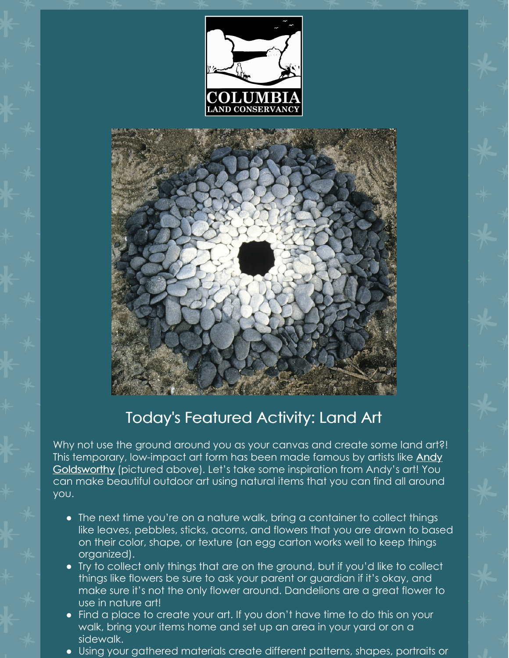



## Today's Featured Activity: Land Art

Why not use the ground around you as your canvas and create some land art?! This temporary, low-impact art form has been made famous by artists like **Andy** [Goldsworthy](https://www.youtube.com/watch?v=USgiTXAEC9E&feature=youtu.be) (pictured above). Let's take some inspiration from Andy's art! You can make beautiful outdoor art using natural items that you can find all around you.

- The next time you're on a nature walk, bring a container to collect things like leaves, pebbles, sticks, acorns, and flowers that you are drawn to based on their color, shape, or texture (an egg carton works well to keep things organized).
- Try to collect only things that are on the ground, but if you'd like to collect things like flowers be sure to ask your parent or guardian if it's okay, and make sure it's not the only flower around. Dandelions are a great flower to use in nature art!
- Find a place to create your art. If you don't have time to do this on your walk, bring your items home and set up an area in your yard or on a sidewalk.
- Using your gathered materials create different patterns, shapes, portraits or